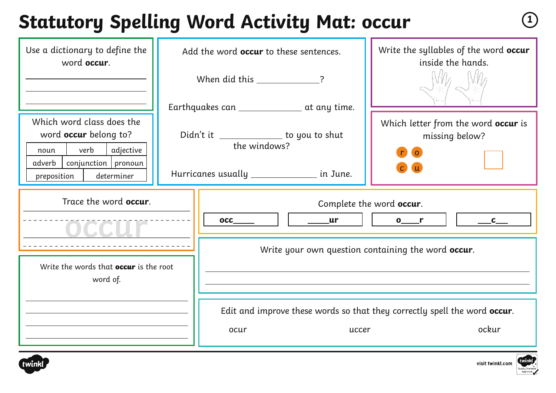#### **Statutory Spelling Word Activity Mat: occur** 1

| Use a dictionary to define the<br>word occur.                                                                        | Add the word <b>occur</b> to these sentences. |                                                          |            | Write the syllables of the word occur<br>inside the hands.                                                                                |
|----------------------------------------------------------------------------------------------------------------------|-----------------------------------------------|----------------------------------------------------------|------------|-------------------------------------------------------------------------------------------------------------------------------------------|
|                                                                                                                      |                                               | When did this ___________________?                       |            |                                                                                                                                           |
|                                                                                                                      |                                               | Earthquakes can ________________ at any time.            |            |                                                                                                                                           |
| Which word class does the<br>word occur belong to?<br>verb<br>adjective<br>noun<br>$conjunction$   pronoun<br>adverb |                                               | Didn't it _______________ to you to shut<br>the windows? |            | Which letter from the word occur is<br>missing below?<br>$\overline{\mathbf{O}}$<br>$\mathsf{r}$<br>$\mathsf{C}$                          |
| preposition<br>determiner                                                                                            |                                               | Hurricanes usually __________________ in June.           |            |                                                                                                                                           |
| Trace the word occur.                                                                                                |                                               | $\mathbf{OCC}$                                           | $\sqrt{u}$ | Complete the word occur.<br>$\mathbf{0}$ or $\mathbf{r}$<br>$\overline{\phantom{a}}^{\phantom{a}}$ $\overline{\phantom{a}}^{\phantom{a}}$ |
|                                                                                                                      |                                               |                                                          |            | Write your own question containing the word occur.                                                                                        |
| Write the words that <b>occur</b> is the root<br>word of.                                                            |                                               |                                                          |            |                                                                                                                                           |
|                                                                                                                      |                                               |                                                          |            | Edit and improve these words so that they correctly spell the word occur.                                                                 |
|                                                                                                                      |                                               | ocur                                                     | uccer      | ockur                                                                                                                                     |





visit twinkl.com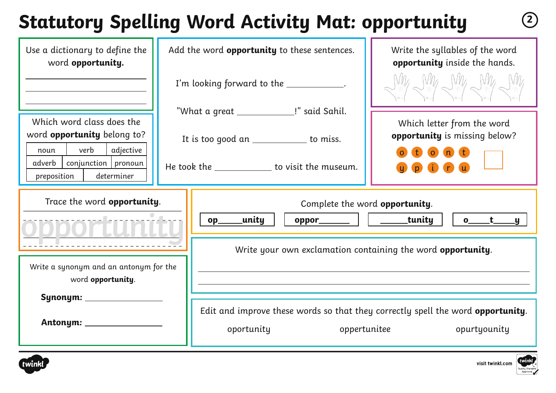# **Statutory Spelling Word Activity Mat: opportunity <sup>2</sup>**

| Use a dictionary to define the<br>word opportunity.                                         | Add the word opportunity to these sentences. |                                                                                                               | Write the syllables of the word<br>opportunity inside the hands. |  |
|---------------------------------------------------------------------------------------------|----------------------------------------------|---------------------------------------------------------------------------------------------------------------|------------------------------------------------------------------|--|
|                                                                                             | I'm looking forward to the ____________.     |                                                                                                               | Why Why Why Why Why                                              |  |
| Which word class does the                                                                   |                                              | "What a great _______________!" said Sahil.                                                                   | Which letter from the word                                       |  |
| word opportunity belong to?                                                                 |                                              | It is too good an _____________ to miss.                                                                      | opportunity is missing below?                                    |  |
| verb<br>adjective<br>noun<br>$conjunction$   pronoun<br>adverb<br>determiner<br>preposition |                                              | He took the ______________ to visit the museum.                                                               | $\overline{\mathbf{O}}$                                          |  |
| Trace the word opportunity.                                                                 |                                              | Complete the word opportunity.<br>_unity<br>$oppor$ $ $ $ $ tunity<br>$o$ t y<br>$op_$                        |                                                                  |  |
|                                                                                             |                                              |                                                                                                               |                                                                  |  |
|                                                                                             |                                              | Write your own exclamation containing the word opportunity.                                                   |                                                                  |  |
| Write a synonym and an antonym for the<br>word opportunity.                                 |                                              |                                                                                                               |                                                                  |  |
| Synonym: _________                                                                          |                                              |                                                                                                               |                                                                  |  |
| Antonym: __________                                                                         |                                              | Edit and improve these words so that they correctly spell the word opportunity.<br>oportunity<br>oppertunitee | opurtyounity                                                     |  |



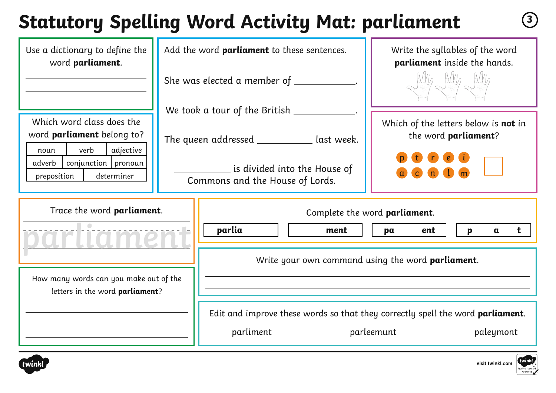# **Statutory Spelling Word Activity Mat: parliament <sup>3</sup>**

| Use a dictionary to define the<br>word parliament.                                   | Add the word parliament to these sentences.                     | Write the syllables of the word<br>parliament inside the hands.                        |  |  |
|--------------------------------------------------------------------------------------|-----------------------------------------------------------------|----------------------------------------------------------------------------------------|--|--|
|                                                                                      | She was elected a member of $\_$                                | Vilg Whe Whe                                                                           |  |  |
|                                                                                      | We took a tour of the British _____                             |                                                                                        |  |  |
| Which word class does the<br>word parliament belong to?<br>adjective<br>verb<br>noun | The queen addressed ____________ last week.                     | Which of the letters below is not in<br>the word parliament?                           |  |  |
| adverb<br>conjunction   pronoun<br>preposition<br>determiner                         | is divided into the House of<br>Commons and the House of Lords. |                                                                                        |  |  |
| Trace the word parliament.                                                           |                                                                 | Complete the word parliament.                                                          |  |  |
|                                                                                      | parlia_<br>ment                                                 | ent<br>pa<br><u>.a t</u><br>$p_{-}$                                                    |  |  |
|                                                                                      |                                                                 | Write your own command using the word <b>parliament</b> .                              |  |  |
| How many words can you make out of the<br>letters in the word parliament?            |                                                                 |                                                                                        |  |  |
|                                                                                      |                                                                 | Edit and improve these words so that they correctly spell the word <b>parliament</b> . |  |  |
|                                                                                      | parliment                                                       | parleemunt<br>paleymont                                                                |  |  |



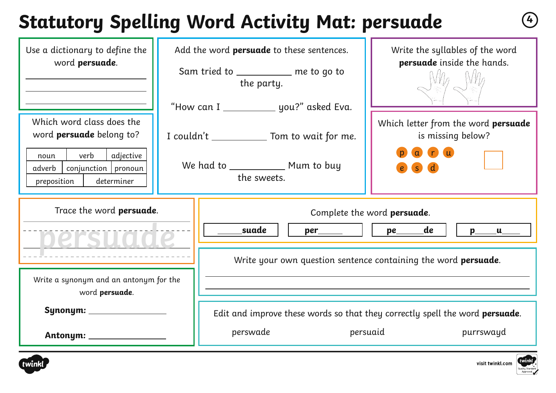# **Statutory Spelling Word Activity Mat: persuade <sup>4</sup>**

| Use a dictionary to define the<br>word persuade.                                                                                                            | Add the word <b>persuade</b> to these sentences.<br>Sam tried to __________ me to go to<br>the party.     | Write the syllables of the word<br>persuade inside the hands.                                                                                                                           |  |  |
|-------------------------------------------------------------------------------------------------------------------------------------------------------------|-----------------------------------------------------------------------------------------------------------|-----------------------------------------------------------------------------------------------------------------------------------------------------------------------------------------|--|--|
| Which word class does the<br>word <b>persuade</b> belong to?<br>verb<br>adjective<br>noun<br>$conjunction$   pronoun<br>adverb<br>determiner<br>preposition | "How can I _____________ you?" asked Eva.<br>I couldn't ______________ Tom to wait for me.<br>the sweets. | Which letter from the word persuade<br>is missing below?                                                                                                                                |  |  |
| Trace the word persuade.<br>persuade                                                                                                                        | suade                                                                                                     | Complete the word persuade.<br>  pe____de                                                                                                                                               |  |  |
| Write a synonym and an antonym for the<br>word persuade.<br>Synonym: _<br>Antonym: ______________                                                           | perswade                                                                                                  | Write your own question sentence containing the word <b>persuade</b> .<br>Edit and improve these words so that they correctly spell the word <b>persuade</b> .<br>persuaid<br>purrswayd |  |  |